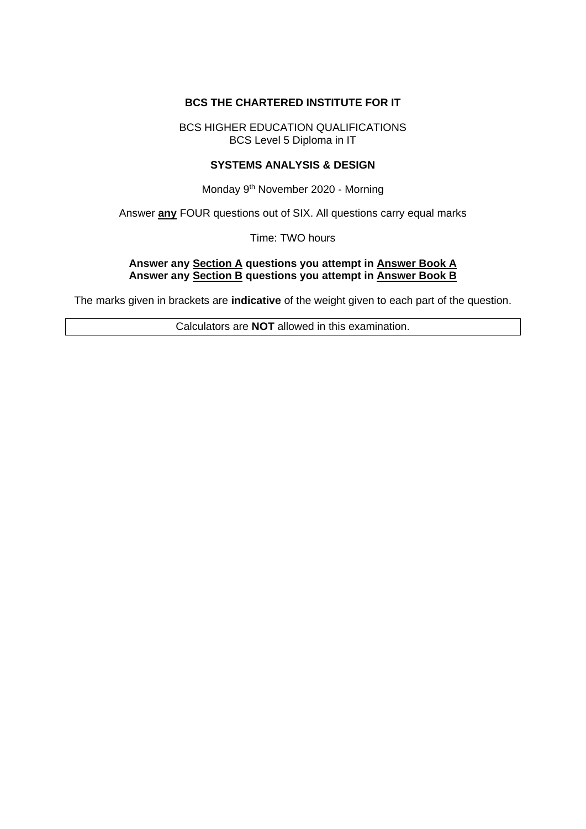### **BCS THE CHARTERED INSTITUTE FOR IT**

BCS HIGHER EDUCATION QUALIFICATIONS BCS Level 5 Diploma in IT

#### **SYSTEMS ANALYSIS & DESIGN**

Monday 9<sup>th</sup> November 2020 - Morning

Answer **any** FOUR questions out of SIX. All questions carry equal marks

Time: TWO hours

#### **Answer any Section A questions you attempt in Answer Book A Answer any Section B questions you attempt in Answer Book B**

The marks given in brackets are **indicative** of the weight given to each part of the question.

Calculators are **NOT** allowed in this examination.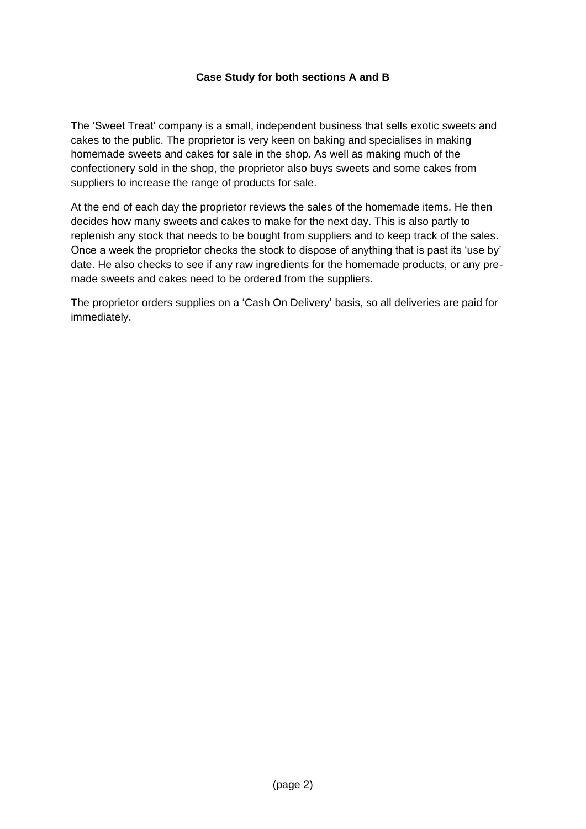## **Case Study for both sections A and B**

The 'Sweet Treat' company is a small, independent business that sells exotic sweets and cakes to the public. The proprietor is very keen on baking and specialises in making homemade sweets and cakes for sale in the shop. As well as making much of the confectionery sold in the shop, the proprietor also buys sweets and some cakes from suppliers to increase the range of products for sale.

At the end of each day the proprietor reviews the sales of the homemade items. He then decides how many sweets and cakes to make for the next day. This is also partly to replenish any stock that needs to be bought from suppliers and to keep track of the sales. Once a week the proprietor checks the stock to dispose of anything that is past its 'use by' date. He also checks to see if any raw ingredients for the homemade products, or any premade sweets and cakes need to be ordered from the suppliers.

The proprietor orders supplies on a 'Cash On Delivery' basis, so all deliveries are paid for immediately.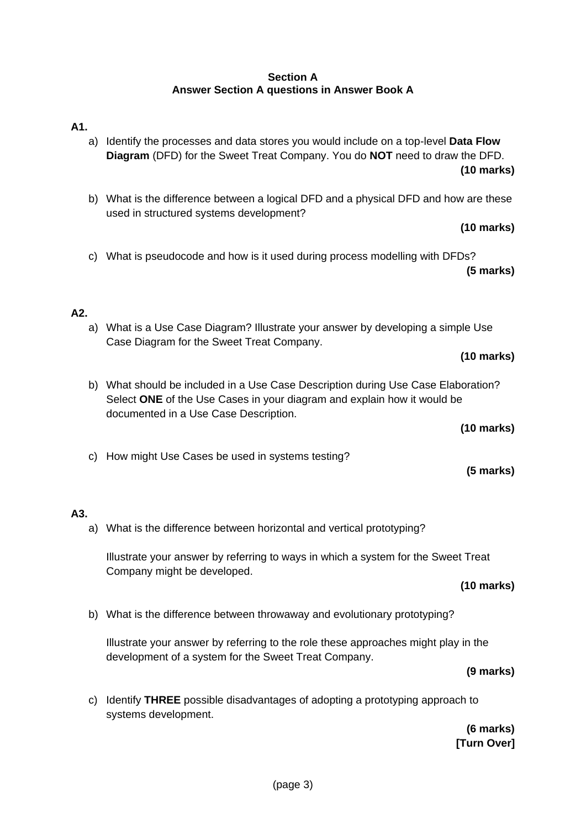## **Section A Answer Section A questions in Answer Book A**

# **A1.**

- a) Identify the processes and data stores you would include on a top-level **Data Flow Diagram** (DFD) for the Sweet Treat Company. You do **NOT** need to draw the DFD. **(10 marks)**
- b) What is the difference between a logical DFD and a physical DFD and how are these used in structured systems development?

**(10 marks)**

c) What is pseudocode and how is it used during process modelling with DFDs?  **(5 marks)**

# **A2.**

a) What is a Use Case Diagram? Illustrate your answer by developing a simple Use Case Diagram for the Sweet Treat Company.

**(10 marks)**

b) What should be included in a Use Case Description during Use Case Elaboration? Select **ONE** of the Use Cases in your diagram and explain how it would be documented in a Use Case Description.

**(10 marks)**

 **(5 marks)**

c) How might Use Cases be used in systems testing?

## **A3.**

a) What is the difference between horizontal and vertical prototyping?

Illustrate your answer by referring to ways in which a system for the Sweet Treat Company might be developed.

### **(10 marks)**

b) What is the difference between throwaway and evolutionary prototyping?

Illustrate your answer by referring to the role these approaches might play in the development of a system for the Sweet Treat Company.

#### **(9 marks)**

c) Identify **THREE** possible disadvantages of adopting a prototyping approach to systems development.

 **(6 marks) [Turn Over]**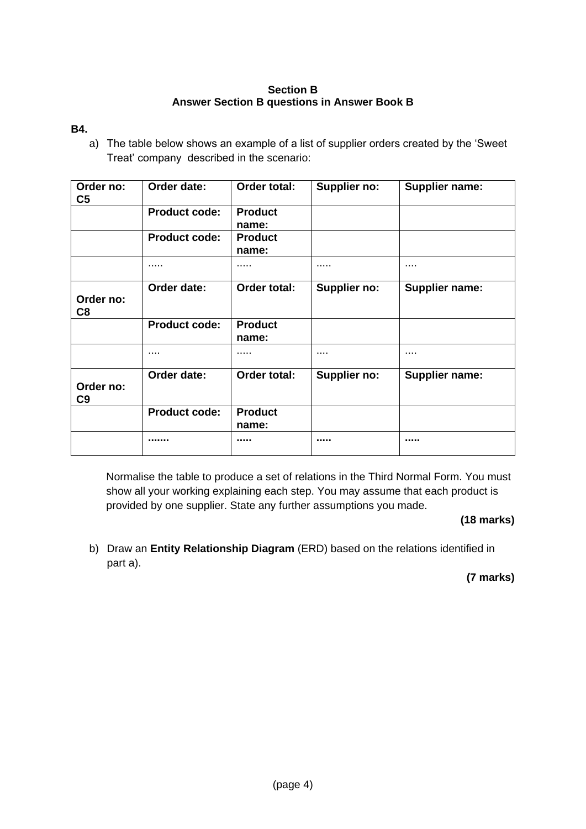### **Section B Answer Section B questions in Answer Book B**

### **B4.**

a) The table below shows an example of a list of supplier orders created by the 'Sweet Treat' company described in the scenario:

| Order no:<br>C <sub>5</sub> | Order date:          | Order total:            | Supplier no:        | <b>Supplier name:</b> |
|-----------------------------|----------------------|-------------------------|---------------------|-----------------------|
|                             | <b>Product code:</b> | <b>Product</b><br>name: |                     |                       |
|                             | <b>Product code:</b> | <b>Product</b><br>name: |                     |                       |
|                             |                      | .                       | .                   |                       |
| Order no:<br>C8             | Order date:          | Order total:            | Supplier no:        | <b>Supplier name:</b> |
|                             | <b>Product code:</b> | <b>Product</b><br>name: |                     |                       |
|                             |                      | .                       |                     |                       |
| Order no:<br>C9             | Order date:          | Order total:            | <b>Supplier no:</b> | <b>Supplier name:</b> |
|                             | <b>Product code:</b> | <b>Product</b><br>name: |                     |                       |
|                             |                      |                         |                     |                       |

Normalise the table to produce a set of relations in the Third Normal Form. You must show all your working explaining each step. You may assume that each product is provided by one supplier. State any further assumptions you made.

### **(18 marks)**

b) Draw an **Entity Relationship Diagram** (ERD) based on the relations identified in part a).

 **(7 marks)**